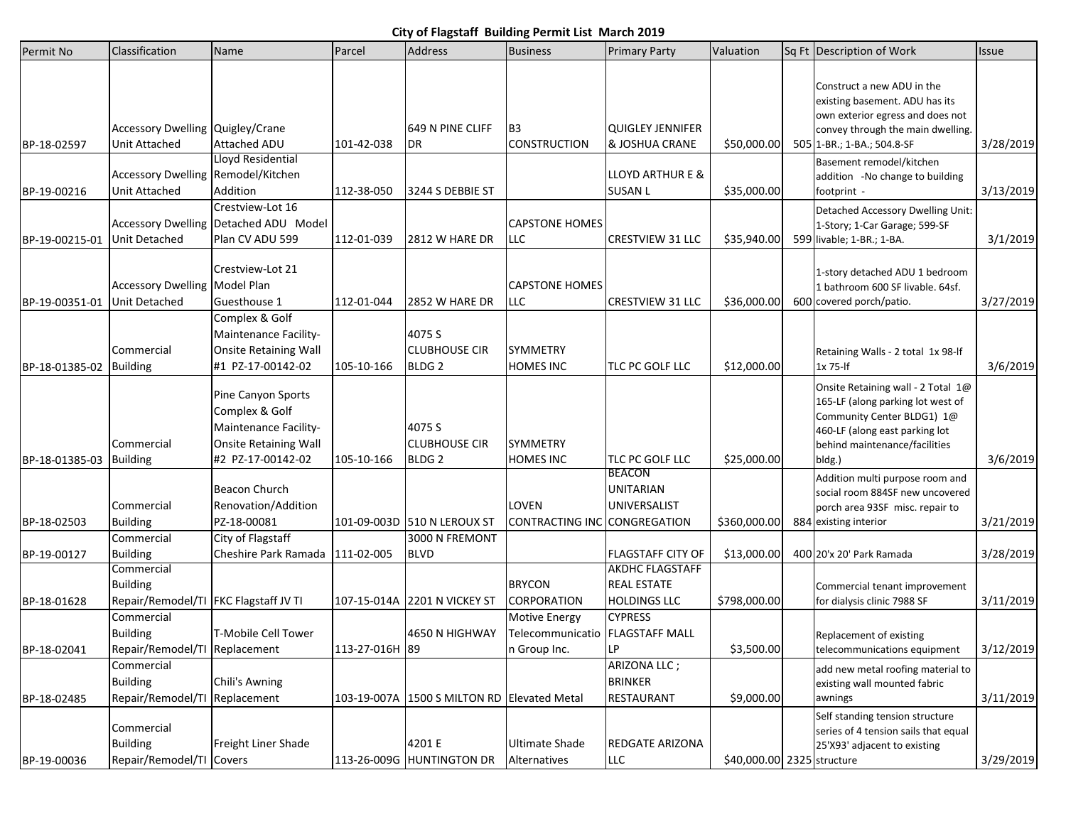## **City of Flagstaff Building Permit List March 2019**

| Permit No      | Classification                                                         | Name                                                                                                        | Parcel         | <b>Address</b>                                      | <b>Business</b>                                                         | <b>Primary Party</b>                                                | Valuation                  | Sq Ft Description of Work                                                                                                                                                          | Issue     |
|----------------|------------------------------------------------------------------------|-------------------------------------------------------------------------------------------------------------|----------------|-----------------------------------------------------|-------------------------------------------------------------------------|---------------------------------------------------------------------|----------------------------|------------------------------------------------------------------------------------------------------------------------------------------------------------------------------------|-----------|
| BP-18-02597    | Accessory Dwelling Quigley/Crane<br><b>Unit Attached</b>               | Attached ADU                                                                                                | 101-42-038     | 649 N PINE CLIFF<br>DR                              | B <sub>3</sub><br><b>CONSTRUCTION</b>                                   | <b>QUIGLEY JENNIFER</b><br>& JOSHUA CRANE                           | \$50,000.00                | Construct a new ADU in the<br>existing basement. ADU has its<br>own exterior egress and does not<br>convey through the main dwelling.<br>505 1-BR.; 1-BA.; 504.8-SF                | 3/28/2019 |
| BP-19-00216    | Accessory Dwelling Remodel/Kitchen<br><b>Unit Attached</b>             | Lloyd Residential<br>Addition                                                                               | 112-38-050     | 3244 S DEBBIE ST                                    |                                                                         | <b>LLOYD ARTHUR E &amp;</b><br><b>SUSAN L</b>                       | \$35,000.00                | Basement remodel/kitchen<br>addition -No change to building<br>footprint -                                                                                                         | 3/13/2019 |
| BP-19-00215-01 | Unit Detached                                                          | Crestview-Lot 16<br>Accessory Dwelling Detached ADU Model<br>Plan CV ADU 599                                | 112-01-039     | <b>2812 W HARE DR</b>                               | <b>CAPSTONE HOMES</b><br><b>LLC</b>                                     | <b>CRESTVIEW 31 LLC</b>                                             | \$35,940.00                | Detached Accessory Dwelling Unit:<br>1-Story; 1-Car Garage; 599-SF<br>599 livable; 1-BR.; 1-BA.                                                                                    | 3/1/2019  |
| BP-19-00351-01 | <b>Accessory Dwelling Model Plan</b><br>Unit Detached                  | Crestview-Lot 21<br>Guesthouse 1                                                                            | 112-01-044     | 2852 W HARE DR                                      | <b>CAPSTONE HOMES</b><br><b>LLC</b>                                     | <b>CRESTVIEW 31 LLC</b>                                             | \$36,000.00                | 1-story detached ADU 1 bedroom<br>1 bathroom 600 SF livable. 64sf.<br>600 covered porch/patio.                                                                                     | 3/27/2019 |
| BP-18-01385-02 | Commercial<br><b>Building</b>                                          | Complex & Golf<br>Maintenance Facility-<br><b>Onsite Retaining Wall</b><br>#1 PZ-17-00142-02                | 105-10-166     | 4075 S<br><b>CLUBHOUSE CIR</b><br>BLDG <sub>2</sub> | <b>SYMMETRY</b><br><b>HOMES INC</b>                                     | TLC PC GOLF LLC                                                     | \$12,000.00                | Retaining Walls - 2 total 1x 98-lf<br>1x 75-lf                                                                                                                                     | 3/6/2019  |
| BP-18-01385-03 | Commercial<br><b>Building</b>                                          | Pine Canyon Sports<br>Complex & Golf<br>Maintenance Facility-<br>Onsite Retaining Wall<br>#2 PZ-17-00142-02 | 105-10-166     | 4075 S<br><b>CLUBHOUSE CIR</b><br>BLDG <sub>2</sub> | <b>SYMMETRY</b><br><b>HOMES INC</b>                                     | TLC PC GOLF LLC                                                     | \$25,000.00                | Onsite Retaining wall - 2 Total 1@<br>165-LF (along parking lot west of<br>Community Center BLDG1) 1@<br>460-LF (along east parking lot<br>behind maintenance/facilities<br>bldg.) | 3/6/2019  |
| BP-18-02503    | Commercial<br><b>Building</b>                                          | Beacon Church<br>Renovation/Addition<br>PZ-18-00081                                                         |                | 101-09-003D 510 N LEROUX ST                         | <b>LOVEN</b><br><b>CONTRACTING INC</b>                                  | <b>BEACON</b><br><b>UNITARIAN</b><br>UNIVERSALIST<br>CONGREGATION   | \$360,000.00               | Addition multi purpose room and<br>social room 884SF new uncovered<br>porch area 93SF misc. repair to<br>884 existing interior                                                     | 3/21/2019 |
| BP-19-00127    | Commercial<br><b>Building</b>                                          | City of Flagstaff<br>Cheshire Park Ramada                                                                   | 111-02-005     | 3000 N FREMONT<br><b>BLVD</b>                       |                                                                         | <b>FLAGSTAFF CITY OF</b>                                            | \$13,000.00                | 400 20'x 20' Park Ramada                                                                                                                                                           | 3/28/2019 |
| BP-18-01628    | Commercial<br><b>Building</b><br>Repair/Remodel/TI FKC Flagstaff JV TI |                                                                                                             |                | 107-15-014A 2201 N VICKEY ST                        | <b>BRYCON</b><br><b>CORPORATION</b>                                     | <b>AKDHC FLAGSTAFF</b><br><b>REAL ESTATE</b><br><b>HOLDINGS LLC</b> | \$798,000.00               | Commercial tenant improvement<br>for dialysis clinic 7988 SF                                                                                                                       | 3/11/2019 |
| BP-18-02041    | Commercial<br><b>Building</b><br>Repair/Remodel/TI Replacement         | T-Mobile Cell Tower                                                                                         | 113-27-016H 89 | 4650 N HIGHWAY                                      | <b>Motive Energy</b><br>Telecommunicatio FLAGSTAFF MALL<br>n Group Inc. | <b>CYPRESS</b><br>LР                                                | \$3,500.00                 | Replacement of existing<br>telecommunications equipment                                                                                                                            | 3/12/2019 |
| BP-18-02485    | Commercial<br><b>Building</b><br>Repair/Remodel/TI Replacement         | Chili's Awning                                                                                              |                | 103-19-007A 1500 S MILTON RD Elevated Metal         |                                                                         | ARIZONA LLC;<br><b>BRINKER</b><br>RESTAURANT                        | \$9,000.00                 | add new metal roofing material to<br>existing wall mounted fabric<br>awnings                                                                                                       | 3/11/2019 |
| BP-19-00036    | Commercial<br><b>Building</b><br>Repair/Remodel/TI Covers              | Freight Liner Shade                                                                                         | 113-26-009G    | 4201 E<br><b>HUNTINGTON DR</b>                      | <b>Ultimate Shade</b><br>Alternatives                                   | REDGATE ARIZONA<br>LLC                                              | \$40,000.00 2325 structure | Self standing tension structure<br>series of 4 tension sails that equal<br>25'X93' adjacent to existing                                                                            | 3/29/2019 |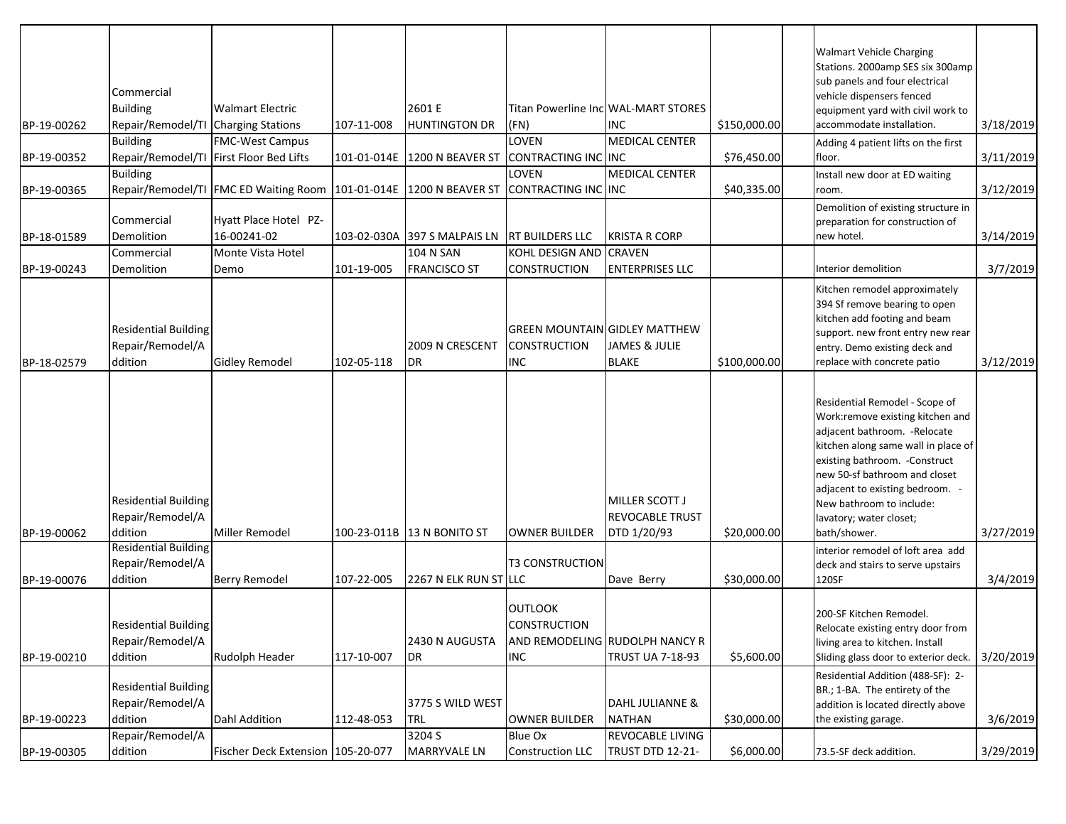| BP-19-00262<br>BP-19-00352 | Commercial<br><b>Building</b><br>Repair/Remodel/TI Charging Stations<br><b>Building</b> | <b>Walmart Electric</b><br><b>FMC-West Campus</b><br>Repair/Remodel/TI First Floor Bed Lifts | 107-11-008<br>101-01-014E | 2601 E<br><b>HUNTINGTON DR</b><br>1200 N BEAVER ST   | (FN)<br><b>LOVEN</b><br>CONTRACTING INC INC                               | Titan Powerline Inc WAL-MART STORES<br><b>INC</b><br><b>MEDICAL CENTER</b> | \$150,000.00<br>\$76,450.00 | <b>Walmart Vehicle Charging</b><br>Stations. 2000amp SES six 300amp<br>sub panels and four electrical<br>vehicle dispensers fenced<br>equipment yard with civil work to<br>accommodate installation.<br>Adding 4 patient lifts on the first<br>floor.                                                                   | 3/18/2019<br>3/11/2019 |
|----------------------------|-----------------------------------------------------------------------------------------|----------------------------------------------------------------------------------------------|---------------------------|------------------------------------------------------|---------------------------------------------------------------------------|----------------------------------------------------------------------------|-----------------------------|-------------------------------------------------------------------------------------------------------------------------------------------------------------------------------------------------------------------------------------------------------------------------------------------------------------------------|------------------------|
| BP-19-00365                | <b>Building</b>                                                                         | Repair/Remodel/TI FMC ED Waiting Room                                                        |                           | 101-01-014E 1200 N BEAVER ST                         | LOVEN<br>CONTRACTING INC INC                                              | <b>MEDICAL CENTER</b>                                                      | \$40,335.00                 | Install new door at ED waiting<br>room.                                                                                                                                                                                                                                                                                 | 3/12/2019              |
| BP-18-01589<br>BP-19-00243 | Commercial<br>Demolition<br>Commercial<br>Demolition                                    | Hyatt Place Hotel PZ-<br>16-00241-02<br>Monte Vista Hotel<br>Demo                            | 103-02-030A<br>101-19-005 | 397 S MALPAIS LN<br>104 N SAN<br><b>FRANCISCO ST</b> | <b>RT BUILDERS LLC</b><br>KOHL DESIGN AND CRAVEN<br>CONSTRUCTION          | <b>KRISTA R CORP</b><br><b>ENTERPRISES LLC</b>                             |                             | Demolition of existing structure in<br>preparation for construction of<br>new hotel.<br>Interior demolition                                                                                                                                                                                                             | 3/14/2019<br>3/7/2019  |
| BP-18-02579                | Residential Building<br>Repair/Remodel/A<br>ddition                                     | <b>Gidley Remodel</b>                                                                        | 102-05-118                | 2009 N CRESCENT<br>DR                                | <b>GREEN MOUNTAIN GIDLEY MATTHEW</b><br><b>CONSTRUCTION</b><br><b>INC</b> | JAMES & JULIE<br><b>BLAKE</b>                                              | \$100,000.00                | Kitchen remodel approximately<br>394 Sf remove bearing to open<br>kitchen add footing and beam<br>support. new front entry new rear<br>entry. Demo existing deck and<br>replace with concrete patio                                                                                                                     | 3/12/2019              |
| BP-19-00062                | <b>Residential Building</b><br>Repair/Remodel/A<br>ddition                              | Miller Remodel                                                                               |                           | 100-23-011B 13 N BONITO ST                           | <b>OWNER BUILDER</b>                                                      | MILLER SCOTT J<br><b>REVOCABLE TRUST</b><br>DTD 1/20/93                    | \$20,000.00                 | Residential Remodel - Scope of<br>Work:remove existing kitchen and<br>adjacent bathroom. - Relocate<br>kitchen along same wall in place of<br>existing bathroom. - Construct<br>new 50-sf bathroom and closet<br>adjacent to existing bedroom. -<br>New bathroom to include:<br>lavatory; water closet;<br>bath/shower. | 3/27/2019              |
|                            | <b>Residential Building</b><br>Repair/Remodel/A                                         |                                                                                              |                           |                                                      | <b>T3 CONSTRUCTION</b>                                                    |                                                                            |                             | interior remodel of loft area add<br>deck and stairs to serve upstairs                                                                                                                                                                                                                                                  |                        |
| BP-19-00076                | ddition                                                                                 | <b>Berry Remodel</b>                                                                         | 107-22-005                | 2267 N ELK RUN ST LLC                                |                                                                           | Dave Berry                                                                 | \$30,000.00                 | 120SF                                                                                                                                                                                                                                                                                                                   | 3/4/2019               |
| BP-19-00210                | <b>Residential Building</b><br>Repair/Remodel/A<br>ddition                              | Rudolph Header                                                                               | 117-10-007                | 2430 N AUGUSTA<br>DR                                 | <b>OUTLOOK</b><br><b>CONSTRUCTION</b><br><b>INC</b>                       | AND REMODELING RUDOLPH NANCY R<br><b>TRUST UA 7-18-93</b>                  | \$5,600.00                  | 200-SF Kitchen Remodel.<br>Relocate existing entry door from<br>living area to kitchen. Install<br>Sliding glass door to exterior deck.                                                                                                                                                                                 | 3/20/2019              |
| BP-19-00223                | <b>Residential Building</b><br>Repair/Remodel/A<br>ddition                              | Dahl Addition                                                                                | 112-48-053                | 3775 S WILD WEST<br>TRL                              | <b>OWNER BUILDER</b>                                                      | DAHL JULIANNE &<br><b>NATHAN</b>                                           | \$30,000.00                 | Residential Addition (488-SF): 2-<br>BR.; 1-BA. The entirety of the<br>addition is located directly above<br>the existing garage.                                                                                                                                                                                       | 3/6/2019               |
| BP-19-00305                | Repair/Remodel/A<br>ddition                                                             | Fischer Deck Extension   105-20-077                                                          |                           | 3204 S<br><b>MARRYVALE LN</b>                        | Blue Ox<br><b>Construction LLC</b>                                        | <b>REVOCABLE LIVING</b><br>TRUST DTD 12-21-                                | \$6,000.00                  | 73.5-SF deck addition.                                                                                                                                                                                                                                                                                                  | 3/29/2019              |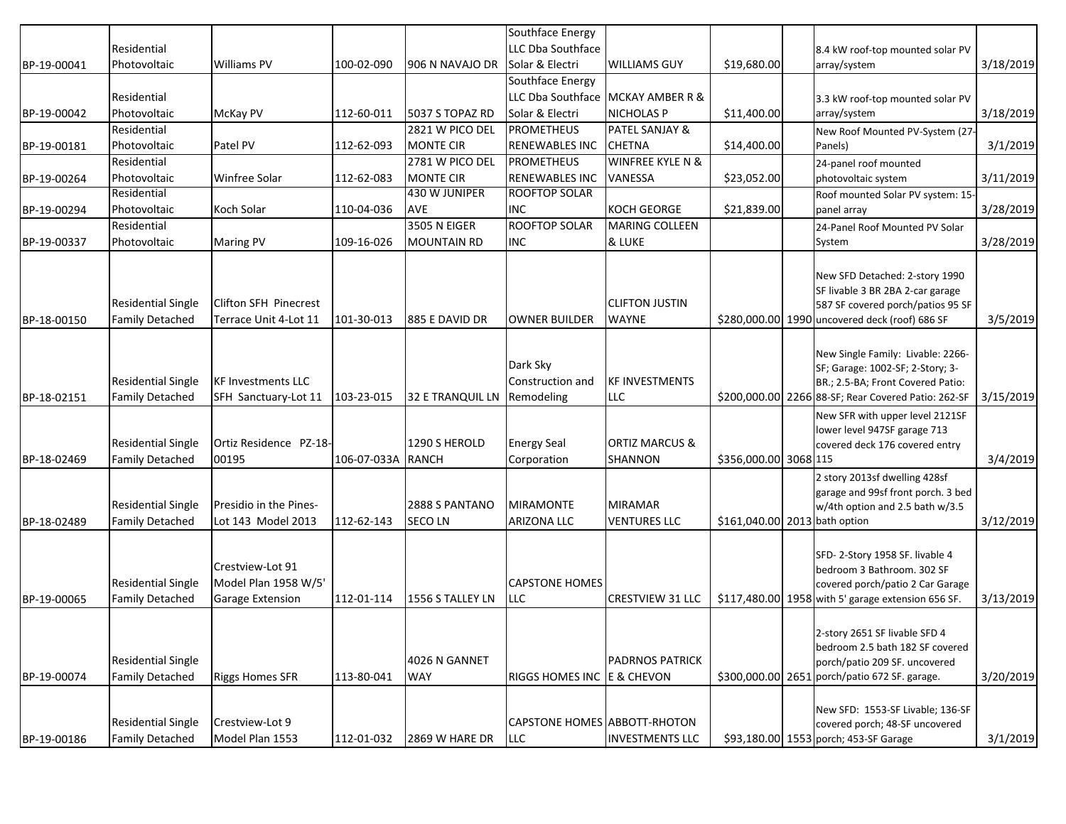|             |                                                     |                                                                     |                   |                                 | Southface Energy                           |                                             |                               |                                                                                                                                                                   |           |
|-------------|-----------------------------------------------------|---------------------------------------------------------------------|-------------------|---------------------------------|--------------------------------------------|---------------------------------------------|-------------------------------|-------------------------------------------------------------------------------------------------------------------------------------------------------------------|-----------|
|             | Residential                                         |                                                                     |                   |                                 | LLC Dba Southface                          |                                             |                               | 8.4 kW roof-top mounted solar PV                                                                                                                                  |           |
| BP-19-00041 | Photovoltaic                                        | <b>Williams PV</b>                                                  | 100-02-090        | 906 N NAVAJO DR                 | Solar & Electri                            | <b>WILLIAMS GUY</b>                         | \$19,680.00                   | array/system                                                                                                                                                      | 3/18/2019 |
|             |                                                     |                                                                     |                   |                                 | Southface Energy                           |                                             |                               |                                                                                                                                                                   |           |
|             | Residential                                         |                                                                     |                   |                                 |                                            | LLC Dba Southface MCKAY AMBER R &           |                               | 3.3 kW roof-top mounted solar PV                                                                                                                                  |           |
| BP-19-00042 | Photovoltaic                                        | McKay PV                                                            | 112-60-011        | 5037 S TOPAZ RD                 | Solar & Electri                            | <b>NICHOLAS P</b>                           | \$11,400.00                   | array/system                                                                                                                                                      | 3/18/2019 |
|             | Residential                                         |                                                                     |                   | 2821 W PICO DEL                 | <b>PROMETHEUS</b>                          | PATEL SANJAY &                              |                               | New Roof Mounted PV-System (27-                                                                                                                                   |           |
| BP-19-00181 | Photovoltaic                                        | Patel PV                                                            | 112-62-093        | <b>MONTE CIR</b>                | <b>RENEWABLES INC</b>                      | <b>CHETNA</b>                               | \$14,400.00                   | Panels)                                                                                                                                                           | 3/1/2019  |
|             | Residential                                         |                                                                     |                   | 2781 W PICO DEL                 | <b>PROMETHEUS</b>                          | <b>WINFREE KYLE N &amp;</b>                 |                               | 24-panel roof mounted                                                                                                                                             |           |
| BP-19-00264 | Photovoltaic                                        | Winfree Solar                                                       | 112-62-083        | <b>MONTE CIR</b>                | <b>RENEWABLES INC</b>                      | VANESSA                                     | \$23,052.00                   | photovoltaic system                                                                                                                                               | 3/11/2019 |
|             | Residential                                         |                                                                     |                   | 430 W JUNIPER                   | <b>ROOFTOP SOLAR</b>                       |                                             |                               | Roof mounted Solar PV system: 15-                                                                                                                                 |           |
| BP-19-00294 | Photovoltaic                                        | Koch Solar                                                          | 110-04-036        | AVE                             | <b>INC</b>                                 | <b>KOCH GEORGE</b>                          | \$21,839.00                   | panel array                                                                                                                                                       | 3/28/2019 |
|             | Residential                                         |                                                                     |                   | <b>3505 N EIGER</b>             | <b>ROOFTOP SOLAR</b>                       | <b>MARING COLLEEN</b>                       |                               | 24-Panel Roof Mounted PV Solar                                                                                                                                    |           |
| BP-19-00337 | Photovoltaic                                        | <b>Maring PV</b>                                                    | 109-16-026        | <b>MOUNTAIN RD</b>              | <b>INC</b>                                 | & LUKE                                      |                               | System                                                                                                                                                            | 3/28/2019 |
| BP-18-00150 | <b>Residential Single</b><br><b>Family Detached</b> | Clifton SFH Pinecrest<br>Terrace Unit 4-Lot 11                      | 101-30-013        | 885 E DAVID DR                  | <b>OWNER BUILDER</b>                       | <b>CLIFTON JUSTIN</b><br><b>WAYNE</b>       |                               | New SFD Detached: 2-story 1990<br>SF livable 3 BR 2BA 2-car garage<br>587 SF covered porch/patios 95 SF<br>\$280,000.00 1990 uncovered deck (roof) 686 SF         | 3/5/2019  |
| BP-18-02151 | <b>Residential Single</b><br><b>Family Detached</b> | <b>KF Investments LLC</b><br>SFH Sanctuary-Lot 11                   | 103-23-015        | 32 E TRANQUIL LN                | Dark Sky<br>Construction and<br>Remodeling | <b>KF INVESTMENTS</b><br>LLC                |                               | New Single Family: Livable: 2266-<br>SF; Garage: 1002-SF; 2-Story; 3-<br>BR.; 2.5-BA; Front Covered Patio:<br>\$200,000.00 2266 88-SF; Rear Covered Patio: 262-SF | 3/15/2019 |
| BP-18-02469 | <b>Residential Single</b><br><b>Family Detached</b> | Ortiz Residence PZ-18-<br>00195                                     | 106-07-033A RANCH | 1290 S HEROLD                   | <b>Energy Seal</b><br>Corporation          | <b>ORTIZ MARCUS &amp;</b><br><b>SHANNON</b> | \$356,000.00 3068 115         | New SFR with upper level 2121SF<br>lower level 947SF garage 713<br>covered deck 176 covered entry                                                                 | 3/4/2019  |
| BP-18-02489 | <b>Residential Single</b><br><b>Family Detached</b> | Presidio in the Pines-<br>Lot 143 Model 2013                        | 112-62-143        | 2888 S PANTANO<br><b>SECOLN</b> | <b>MIRAMONTE</b><br><b>ARIZONA LLC</b>     | <b>MIRAMAR</b><br><b>VENTURES LLC</b>       | \$161,040.00 2013 bath option | 2 story 2013sf dwelling 428sf<br>garage and 99sf front porch. 3 bed<br>w/4th option and 2.5 bath w/3.5                                                            | 3/12/2019 |
| BP-19-00065 | <b>Residential Single</b><br><b>Family Detached</b> | Crestview-Lot 91<br>Model Plan 1958 W/5'<br><b>Garage Extension</b> | 112-01-114        | 1556 S TALLEY LN                | <b>CAPSTONE HOMES</b><br><b>LLC</b>        | <b>CRESTVIEW 31 LLC</b>                     |                               | SFD-2-Story 1958 SF. livable 4<br>bedroom 3 Bathroom. 302 SF<br>covered porch/patio 2 Car Garage<br>\$117,480.00 1958 with 5' garage extension 656 SF.            | 3/13/2019 |
| BP-19-00074 | <b>Residential Single</b><br><b>Family Detached</b> | <b>Riggs Homes SFR</b>                                              | 113-80-041        | 4026 N GANNET<br><b>WAY</b>     | RIGGS HOMES INC E & CHEVON                 | <b>PADRNOS PATRICK</b>                      |                               | 2-story 2651 SF livable SFD 4<br>bedroom 2.5 bath 182 SF covered<br>porch/patio 209 SF. uncovered<br>\$300,000.00 2651 porch/patio 672 SF. garage.                | 3/20/2019 |
| BP-19-00186 | <b>Residential Single</b><br><b>Family Detached</b> | Crestview-Lot 9<br>Model Plan 1553                                  | 112-01-032        | 2869 W HARE DR                  | CAPSTONE HOMES ABBOTT-RHOTON<br><b>LLC</b> | <b>INVESTMENTS LLC</b>                      |                               | New SFD: 1553-SF Livable; 136-SF<br>covered porch; 48-SF uncovered<br>\$93,180.00 1553 porch; 453-SF Garage                                                       | 3/1/2019  |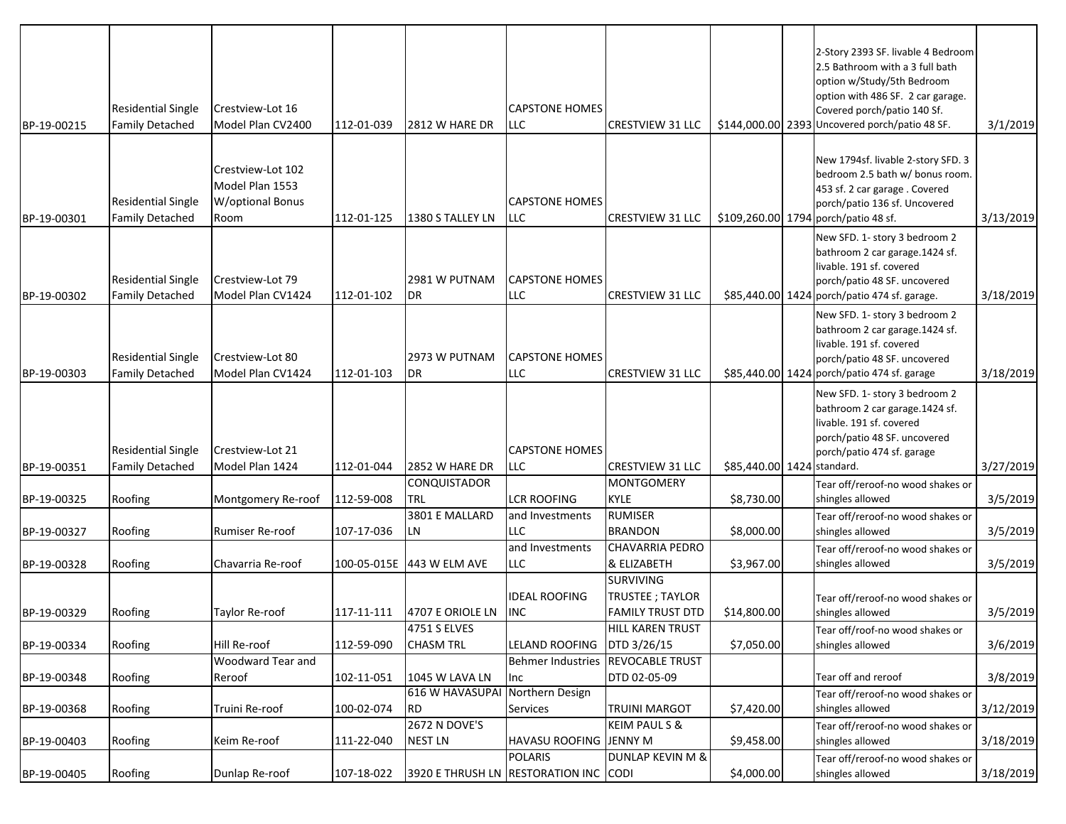| BP-19-00215 | <b>Residential Single</b><br><b>Family Detached</b> | Crestview-Lot 16<br>Model Plan CV2400                    | 112-01-039 | 2812 W HARE DR                        | <b>CAPSTONE HOMES</b><br><b>LLC</b> | <b>CRESTVIEW 31 LLC</b>                          |                            | 2-Story 2393 SF. livable 4 Bedroom<br>2.5 Bathroom with a 3 full bath<br>option w/Study/5th Bedroom<br>option with 486 SF. 2 car garage.<br>Covered porch/patio 140 Sf.<br>\$144,000.00 2393 Uncovered porch/patio 48 SF. | 3/1/2019  |
|-------------|-----------------------------------------------------|----------------------------------------------------------|------------|---------------------------------------|-------------------------------------|--------------------------------------------------|----------------------------|---------------------------------------------------------------------------------------------------------------------------------------------------------------------------------------------------------------------------|-----------|
|             |                                                     |                                                          |            |                                       |                                     |                                                  |                            | New 1794sf. livable 2-story SFD. 3                                                                                                                                                                                        |           |
|             | <b>Residential Single</b>                           | Crestview-Lot 102<br>Model Plan 1553<br>W/optional Bonus |            |                                       | <b>CAPSTONE HOMES</b>               |                                                  |                            | bedroom 2.5 bath w/ bonus room.<br>453 sf. 2 car garage . Covered<br>porch/patio 136 sf. Uncovered                                                                                                                        |           |
| BP-19-00301 | <b>Family Detached</b>                              | Room                                                     | 112-01-125 | 1380 S TALLEY LN                      | <b>LLC</b>                          | <b>CRESTVIEW 31 LLC</b>                          |                            | \$109,260.00 1794 porch/patio 48 sf.                                                                                                                                                                                      | 3/13/2019 |
| BP-19-00302 | <b>Residential Single</b><br><b>Family Detached</b> | Crestview-Lot 79<br>Model Plan CV1424                    | 112-01-102 | 2981 W PUTNAM<br>DR                   | <b>CAPSTONE HOMES</b><br><b>LLC</b> | <b>CRESTVIEW 31 LLC</b>                          |                            | New SFD. 1- story 3 bedroom 2<br>bathroom 2 car garage.1424 sf.<br>livable. 191 sf. covered<br>porch/patio 48 SF. uncovered<br>\$85,440.00 1424 porch/patio 474 sf. garage.                                               | 3/18/2019 |
|             |                                                     |                                                          |            |                                       |                                     |                                                  |                            | New SFD. 1- story 3 bedroom 2                                                                                                                                                                                             |           |
| BP-19-00303 | <b>Residential Single</b><br><b>Family Detached</b> | Crestview-Lot 80<br>Model Plan CV1424                    | 112-01-103 | 2973 W PUTNAM<br>DR                   | <b>CAPSTONE HOMES</b><br><b>LLC</b> | <b>CRESTVIEW 31 LLC</b>                          |                            | bathroom 2 car garage.1424 sf.<br>livable. 191 sf. covered<br>porch/patio 48 SF. uncovered<br>\$85,440.00 1424 porch/patio 474 sf. garage                                                                                 | 3/18/2019 |
|             | <b>Residential Single</b>                           | Crestview-Lot 21                                         |            |                                       | <b>CAPSTONE HOMES</b>               |                                                  |                            | New SFD. 1- story 3 bedroom 2<br>bathroom 2 car garage.1424 sf.<br>livable. 191 sf. covered<br>porch/patio 48 SF. uncovered                                                                                               |           |
| BP-19-00351 | <b>Family Detached</b>                              | Model Plan 1424                                          | 112-01-044 | 2852 W HARE DR                        | <b>LLC</b>                          | <b>CRESTVIEW 31 LLC</b>                          | \$85,440.00 1424 standard. | porch/patio 474 sf. garage                                                                                                                                                                                                | 3/27/2019 |
|             |                                                     |                                                          |            | CONQUISTADOR                          |                                     | <b>MONTGOMERY</b>                                |                            | Tear off/reroof-no wood shakes or                                                                                                                                                                                         |           |
| BP-19-00325 | Roofing                                             | Montgomery Re-roof                                       | 112-59-008 | <b>TRL</b>                            | <b>LCR ROOFING</b>                  | <b>KYLE</b>                                      | \$8,730.00                 | shingles allowed                                                                                                                                                                                                          | 3/5/2019  |
| BP-19-00327 | Roofing                                             | Rumiser Re-roof                                          | 107-17-036 | 3801 E MALLARD<br>LN                  | and Investments<br><b>LLC</b>       | <b>RUMISER</b><br><b>BRANDON</b>                 | \$8,000.00                 | Tear off/reroof-no wood shakes or<br>shingles allowed                                                                                                                                                                     | 3/5/2019  |
|             |                                                     |                                                          |            |                                       | and Investments                     | <b>CHAVARRIA PEDRO</b>                           |                            | Tear off/reroof-no wood shakes or                                                                                                                                                                                         |           |
| BP-19-00328 | Roofing                                             | Chavarria Re-roof                                        |            | 100-05-015E 443 W ELM AVE             | <b>LLC</b>                          | & ELIZABETH                                      | \$3,967.00                 | shingles allowed                                                                                                                                                                                                          | 3/5/2019  |
|             |                                                     |                                                          |            |                                       | <b>IDEAL ROOFING</b>                | <b>SURVIVING</b><br><b>TRUSTEE; TAYLOR</b>       |                            | Tear off/reroof-no wood shakes or                                                                                                                                                                                         |           |
| BP-19-00329 | Roofing                                             | Taylor Re-roof                                           | 117-11-111 | 4707 E ORIOLE LN<br>4751 S ELVES      | <b>INC</b>                          | <b>FAMILY TRUST DTD</b><br>HILL KAREN TRUST      | \$14,800.00                | shingles allowed                                                                                                                                                                                                          | 3/5/2019  |
| BP-19-00334 | Roofing                                             | Hill Re-roof                                             | 112-59-090 | <b>CHASM TRL</b>                      | LELAND ROOFING   DTD 3/26/15        |                                                  | \$7,050.00                 | Tear off/roof-no wood shakes or<br>shingles allowed                                                                                                                                                                       | 3/6/2019  |
|             |                                                     | Woodward Tear and                                        |            |                                       | Behmer Industries REVOCABLE TRUST   |                                                  |                            |                                                                                                                                                                                                                           |           |
| BP-19-00348 | Roofing                                             | Reroof                                                   | 102-11-051 | 1045 W LAVA LN                        | Inc                                 | DTD 02-05-09                                     |                            | Tear off and reroof                                                                                                                                                                                                       | 3/8/2019  |
|             |                                                     |                                                          |            | <b>616 W HAVASUPAI</b>                | Northern Design                     |                                                  |                            | Tear off/reroof-no wood shakes or                                                                                                                                                                                         |           |
| BP-19-00368 | Roofing                                             | Truini Re-roof                                           | 100-02-074 | <b>RD</b><br>2672 N DOVE'S            | Services                            | <b>TRUINI MARGOT</b><br><b>KEIM PAUL S &amp;</b> | \$7,420.00                 | shingles allowed                                                                                                                                                                                                          | 3/12/2019 |
| BP-19-00403 | Roofing                                             | Keim Re-roof                                             | 111-22-040 | <b>NEST LN</b>                        | HAVASU ROOFING JENNY M              |                                                  | \$9,458.00                 | Tear off/reroof-no wood shakes or<br>shingles allowed                                                                                                                                                                     | 3/18/2019 |
|             |                                                     |                                                          |            |                                       | <b>POLARIS</b>                      | <b>DUNLAP KEVIN M &amp;</b>                      |                            | Tear off/reroof-no wood shakes or                                                                                                                                                                                         |           |
| BP-19-00405 | Roofing                                             | Dunlap Re-roof                                           | 107-18-022 | 3920 E THRUSH LN RESTORATION INC CODI |                                     |                                                  | \$4,000.00                 | shingles allowed                                                                                                                                                                                                          | 3/18/2019 |